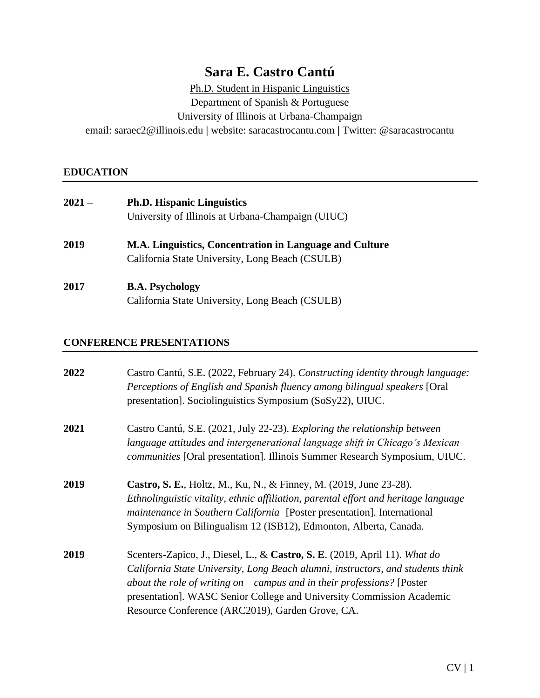# **Sara E. Castro Cantú**

Ph.D. Student in Hispanic Linguistics

Department of Spanish & Portuguese

University of Illinois at Urbana-Champaign

email: saraec2@illinois.edu **|** website: saracastrocantu.com **|** Twitter: @saracastrocantu

# **EDUCATION**

| $2021 -$ | <b>Ph.D. Hispanic Linguistics</b>                       |
|----------|---------------------------------------------------------|
|          | University of Illinois at Urbana-Champaign (UIUC)       |
| 2019     | M.A. Linguistics, Concentration in Language and Culture |
|          | California State University, Long Beach (CSULB)         |
| 2017     | <b>B.A. Psychology</b>                                  |
|          | California State University, Long Beach (CSULB)         |

## **CONFERENCE PRESENTATIONS**

| 2022 | Castro Cantú, S.E. (2022, February 24). Constructing identity through language:<br>Perceptions of English and Spanish fluency among bilingual speakers [Oral]<br>presentation]. Sociolinguistics Symposium (SoSy22), UIUC.                                                                                                                                          |
|------|---------------------------------------------------------------------------------------------------------------------------------------------------------------------------------------------------------------------------------------------------------------------------------------------------------------------------------------------------------------------|
| 2021 | Castro Cantú, S.E. (2021, July 22-23). Exploring the relationship between<br>language attitudes and intergenerational language shift in Chicago's Mexican<br>communities [Oral presentation]. Illinois Summer Research Symposium, UIUC.                                                                                                                             |
| 2019 | <b>Castro, S. E.</b> , Holtz, M., Ku, N., & Finney, M. (2019, June 23-28).<br>Ethnolinguistic vitality, ethnic affiliation, parental effort and heritage language<br>maintenance in Southern California [Poster presentation]. International<br>Symposium on Bilingualism 12 (ISB12), Edmonton, Alberta, Canada.                                                    |
| 2019 | Scenters-Zapico, J., Diesel, L., & Castro, S. E. (2019, April 11). What do<br>California State University, Long Beach alumni, instructors, and students think<br>about the role of writing on campus and in their professions? [Poster<br>presentation]. WASC Senior College and University Commission Academic<br>Resource Conference (ARC2019), Garden Grove, CA. |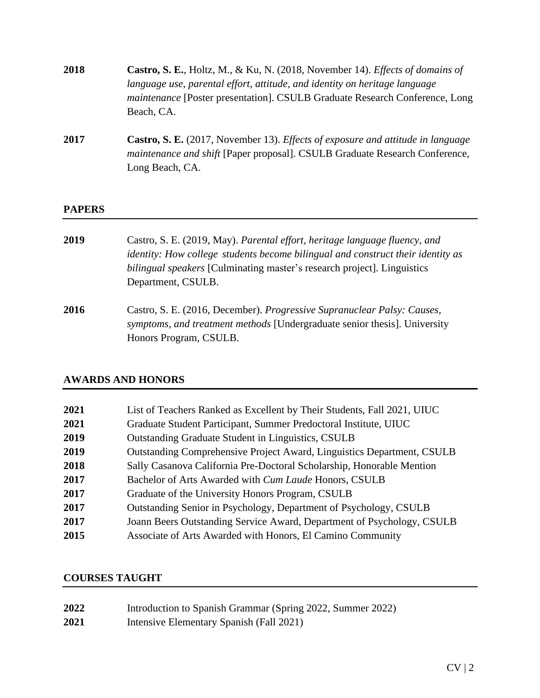| 2018 | <b>Castro, S. E.,</b> Holtz, M., & Ku, N. (2018, November 14). <i>Effects of domains of</i> |
|------|---------------------------------------------------------------------------------------------|
|      | language use, parental effort, attitude, and identity on heritage language                  |
|      | <i>maintenance</i> [Poster presentation]. CSULB Graduate Research Conference, Long          |
|      | Beach, CA.                                                                                  |

**2017 Castro, S. E.** (2017, November 13). *Effects of exposure and attitude in language maintenance and shift* [Paper proposal]. CSULB Graduate Research Conference, Long Beach, CA.

#### **PAPERS**

- **2019** Castro, S. E. (2019, May). *Parental effort, heritage language fluency, and identity: How college students become bilingual and construct their identity as bilingual speakers* [Culminating master's research project]. Linguistics Department, CSULB.
- **2016** Castro, S. E. (2016, December). *Progressive Supranuclear Palsy: Causes, symptoms, and treatment methods* [Undergraduate senior thesis]. University Honors Program, CSULB.

## **AWARDS AND HONORS**

| 2021 | List of Teachers Ranked as Excellent by Their Students, Fall 2021, UIUC |
|------|-------------------------------------------------------------------------|
| 2021 | Graduate Student Participant, Summer Predoctoral Institute, UIUC        |
| 2019 | <b>Outstanding Graduate Student in Linguistics, CSULB</b>               |
| 2019 | Outstanding Comprehensive Project Award, Linguistics Department, CSULB  |
| 2018 | Sally Casanova California Pre-Doctoral Scholarship, Honorable Mention   |
| 2017 | Bachelor of Arts Awarded with <i>Cum Laude</i> Honors, CSULB            |
| 2017 | Graduate of the University Honors Program, CSULB                        |
| 2017 | Outstanding Senior in Psychology, Department of Psychology, CSULB       |
| 2017 | Joann Beers Outstanding Service Award, Department of Psychology, CSULB  |
| 2015 | Associate of Arts Awarded with Honors, El Camino Community              |

## **COURSES TAUGHT**

| 2022 | Introduction to Spanish Grammar (Spring 2022, Summer 2022) |
|------|------------------------------------------------------------|
| 2021 | Intensive Elementary Spanish (Fall 2021)                   |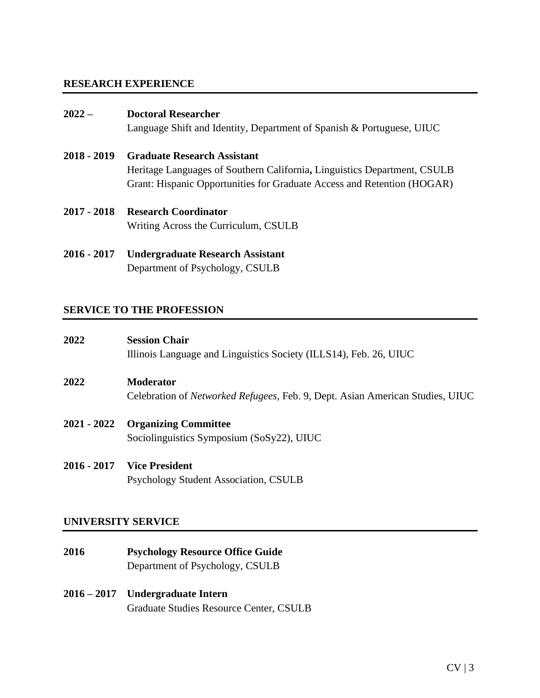## **RESEARCH EXPERIENCE**

#### **2022 – Doctoral Researcher**

Language Shift and Identity, Department of Spanish & Portuguese, UIUC

- **2018 - 2019 Graduate Research Assistant** Heritage Languages of Southern California**,** Linguistics Department, CSULB Grant: Hispanic Opportunities for Graduate Access and Retention (HOGAR)
- **2017 - 2018 Research Coordinator** Writing Across the Curriculum, CSULB
- **2016 - 2017 Undergraduate Research Assistant** Department of Psychology, CSULB

## **SERVICE TO THE PROFESSION**

| 2022        | <b>Session Chair</b><br>Illinois Language and Linguistics Society (ILLS14), Feb. 26, UIUC                 |
|-------------|-----------------------------------------------------------------------------------------------------------|
| 2022        | <b>Moderator</b><br>Celebration of <i>Networked Refugees</i> , Feb. 9, Dept. Asian American Studies, UIUC |
| 2021 - 2022 | <b>Organizing Committee</b><br>Sociolinguistics Symposium (SoSy22), UIUC                                  |
|             | 2016 - 2017 Vice President<br>Psychology Student Association, CSULB                                       |

#### **UNIVERSITY SERVICE**

- **2016 Psychology Resource Office Guide**  Department of Psychology, CSULB
- **2016 – 2017 Undergraduate Intern**  Graduate Studies Resource Center, CSULB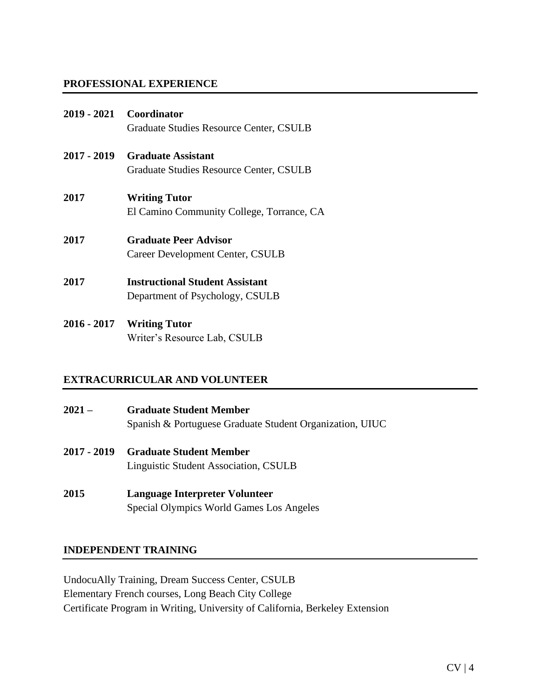## **PROFESSIONAL EXPERIENCE**

- **2019 - 2021 Coordinator**  Graduate Studies Resource Center, CSULB
- **2017 - 2019 Graduate Assistant**  Graduate Studies Resource Center, CSULB
- **2017 Writing Tutor**  El Camino Community College, Torrance, CA
- **2017 Graduate Peer Advisor** Career Development Center, CSULB
- **2017 Instructional Student Assistant**  Department of Psychology, CSULB
- **2016 - 2017 Writing Tutor** Writer's Resource Lab, CSULB

## **EXTRACURRICULAR AND VOLUNTEER**

- **2021 – Graduate Student Member** Spanish & Portuguese Graduate Student Organization, UIUC
- **2017 - 2019 Graduate Student Member** Linguistic Student Association, CSULB
- **2015 Language Interpreter Volunteer** Special Olympics World Games Los Angeles

## **INDEPENDENT TRAINING**

UndocuAlly Training, Dream Success Center, CSULB Elementary French courses, Long Beach City College Certificate Program in Writing, University of California, Berkeley Extension